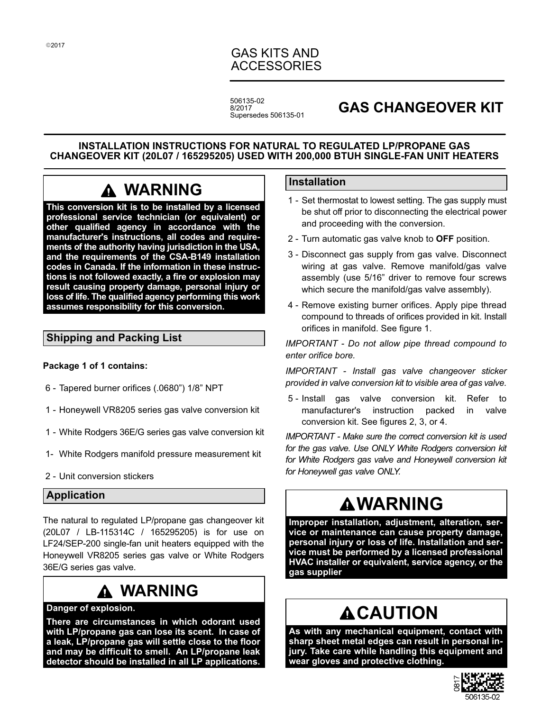# GAS KITS AND ACCESSORIES

506135-02 8/2017 Supersedes 506135-01

# **GAS CHANGEOVER KIT**

#### **INSTALLATION INSTRUCTIONS FOR NATURAL TO REGULATED LP/PROPANE GAS CHANGEOVER KIT (20L07 / 165295205) USED WITH 200,000 BTUH SINGLE-FAN UNIT HEATERS**

# **WARNING**

**This conversion kit is to be installed by a licensed professional service technician (or equivalent) or other qualified agency in accordance with the manufacturer's instructions, all codes and requirements of the authority having jurisdiction in the USA, and the requirements of the CSA-B149 installation codes in Canada. If the information in these instructions is not followed exactly, a fire or explosion may result causing property damage, personal injury or loss of life. The qualified agency performing this work assumes responsibility for this conversion.**

# **Shipping and Packing List**

### **Package 1 of 1 contains:**

- 6 Tapered burner orifices (.0680") 1/8" NPT
- 1 Honeywell VR8205 series gas valve conversion kit
- 1 White Rodgers 36E/G series gas valve conversion kit
- 1- White Rodgers manifold pressure measurement kit
- 2 Unit conversion stickers

# **Application**

The natural to regulated LP/propane gas changeover kit (20L07 / LB-115314C / 165295205) is for use on LF24/SEP-200 single-fan unit heaters equipped with the Honeywell VR8205 series gas valve or White Rodgers 36E/G series gas valve.

# **WARNING**

### **Danger of explosion.**

**There are circumstances in which odorant used with LP/propane gas can lose its scent. In case of a leak, LP/propane gas will settle close to the floor and may be difficult to smell. An LP/propane leak detector should be installed in all LP applications.**

## **Installation**

- 1 Set thermostat to lowest setting. The gas supply must be shut off prior to disconnecting the electrical power and proceeding with the conversion.
- 2 Turn automatic gas valve knob to **OFF** position.
- 3 Disconnect gas supply from gas valve. Disconnect wiring at gas valve. Remove manifold/gas valve assembly (use 5/16" driver to remove four screws which secure the manifold/gas valve assembly).
- 4 Remove existing burner orifices. Apply pipe thread compound to threads of orifices provided in kit. Install orifices in manifold. See figure 1.

*IMPORTANT - Do not allow pipe thread compound to enter orifice bore.*

*IMPORTANT - Install gas valve changeover sticker provided in valve conversion kit to visible area of gas valve.*

 5 - Install gas valve conversion kit. Refer to manufacturer's instruction packed in valve conversion kit. See figures 2, 3, or 4.

*IMPORTANT - Make sure the correct conversion kit is used for the gas valve. Use ONLY White Rodgers conversion kit for White Rodgers gas valve and Honeywell conversion kit for Honeywell gas valve ONLY.*

# **WARNING**

**Improper installation, adjustment, alteration, service or maintenance can cause property damage, personal injury or loss of life. Installation and service must be performed by a licensed professional HVAC installer or equivalent, service agency, or the gas supplier**

# **ACAUTION**

**As with any mechanical equipment, contact with sharp sheet metal edges can result in personal injury. Take care while handling this equipment and wear gloves and protective clothing.**

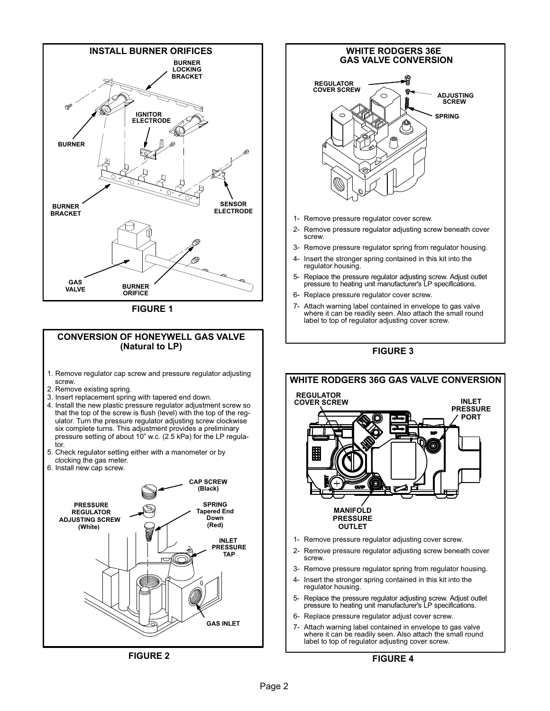

**ADJUSTING SCREW SPRING**

⊛

**INLET PRESSURE PORT**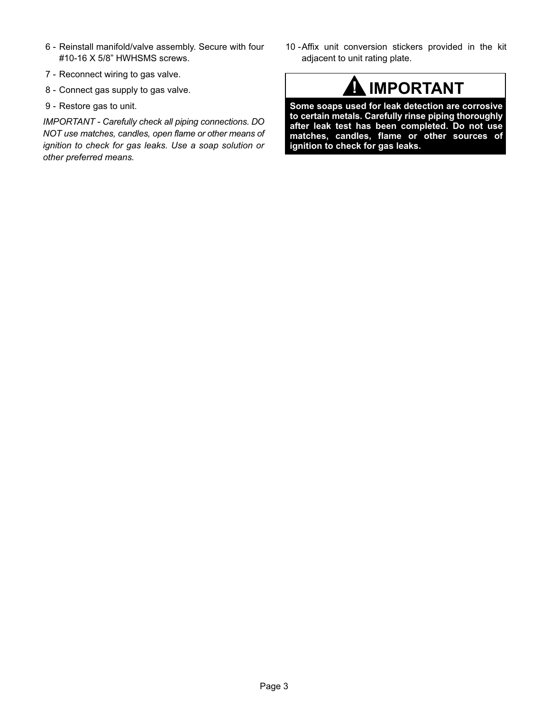- 6 Reinstall manifold/valve assembly. Secure with four #10-16 X 5/8" HWHSMS screws.
- 7 Reconnect wiring to gas valve.
- 8 Connect gas supply to gas valve.
- 9 Restore gas to unit.

*IMPORTANT - Carefully check all piping connections. DO NOT use matches, candles, open flame or other means of ignition to check for gas leaks. Use a soap solution or other preferred means.*

10 -Affix unit conversion stickers provided in the kit adjacent to unit rating plate.



**Some soaps used for leak detection are corrosive to certain metals. Carefully rinse piping thoroughly after leak test has been completed. Do not use matches, candles, flame or other sources of ignition to check for gas leaks.**